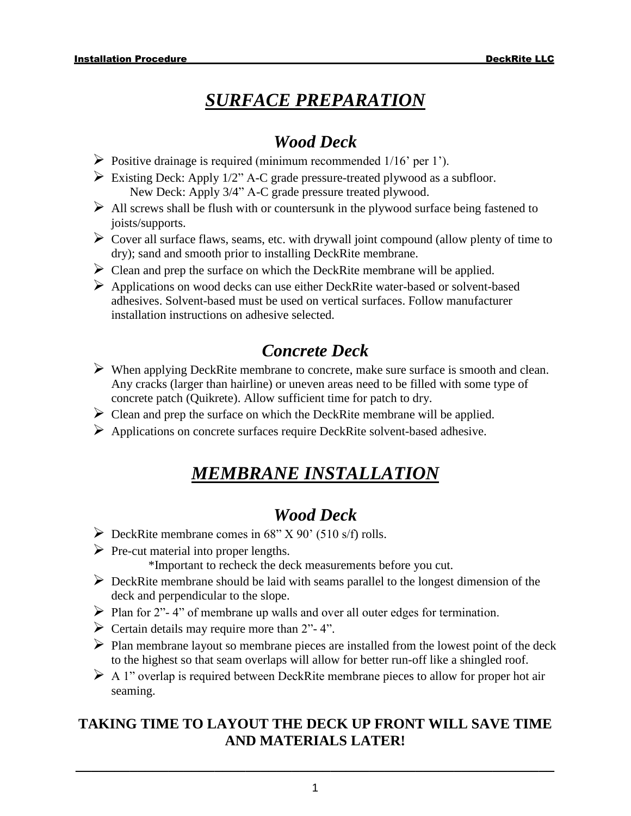# *SURFACE PREPARATION*

### *Wood Deck*

- $\triangleright$  Positive drainage is required (minimum recommended 1/16' per 1').
- $\triangleright$  Existing Deck: Apply 1/2" A-C grade pressure-treated plywood as a subfloor. New Deck: Apply 3/4" A-C grade pressure treated plywood.
- $\triangleright$  All screws shall be flush with or countersunk in the plywood surface being fastened to joists/supports.
- $\triangleright$  Cover all surface flaws, seams, etc. with drywall joint compound (allow plenty of time to dry); sand and smooth prior to installing DeckRite membrane.
- $\triangleright$  Clean and prep the surface on which the DeckRite membrane will be applied.
- ➢ Applications on wood decks can use either DeckRite water-based or solvent-based adhesives. Solvent-based must be used on vertical surfaces. Follow manufacturer installation instructions on adhesive selected.

## *Concrete Deck*

- ➢ When applying DeckRite membrane to concrete, make sure surface is smooth and clean. Any cracks (larger than hairline) or uneven areas need to be filled with some type of concrete patch (Quikrete). Allow sufficient time for patch to dry.
- $\triangleright$  Clean and prep the surface on which the DeckRite membrane will be applied.
- ➢ Applications on concrete surfaces require DeckRite solvent-based adhesive.

# *MEMBRANE INSTALLATION*

## *Wood Deck*

- $\triangleright$  DeckRite membrane comes in 68" X 90' (510 s/f) rolls.
- $\triangleright$  Pre-cut material into proper lengths.

\*Important to recheck the deck measurements before you cut.

- $\triangleright$  DeckRite membrane should be laid with seams parallel to the longest dimension of the deck and perpendicular to the slope.
- $\triangleright$  Plan for 2"-4" of membrane up walls and over all outer edges for termination.
- $\triangleright$  Certain details may require more than 2"-4".
- ➢ Plan membrane layout so membrane pieces are installed from the lowest point of the deck to the highest so that seam overlaps will allow for better run-off like a shingled roof.
- $\triangleright$  A 1" overlap is required between DeckRite membrane pieces to allow for proper hot air seaming.

### **TAKING TIME TO LAYOUT THE DECK UP FRONT WILL SAVE TIME AND MATERIALS LATER!**

**\_\_\_\_\_\_\_\_\_\_\_\_\_\_\_\_\_\_\_\_\_\_\_\_\_\_\_\_\_\_\_\_\_\_\_\_\_\_\_\_\_\_\_\_\_\_\_\_\_\_\_\_\_\_\_\_\_\_\_\_\_\_**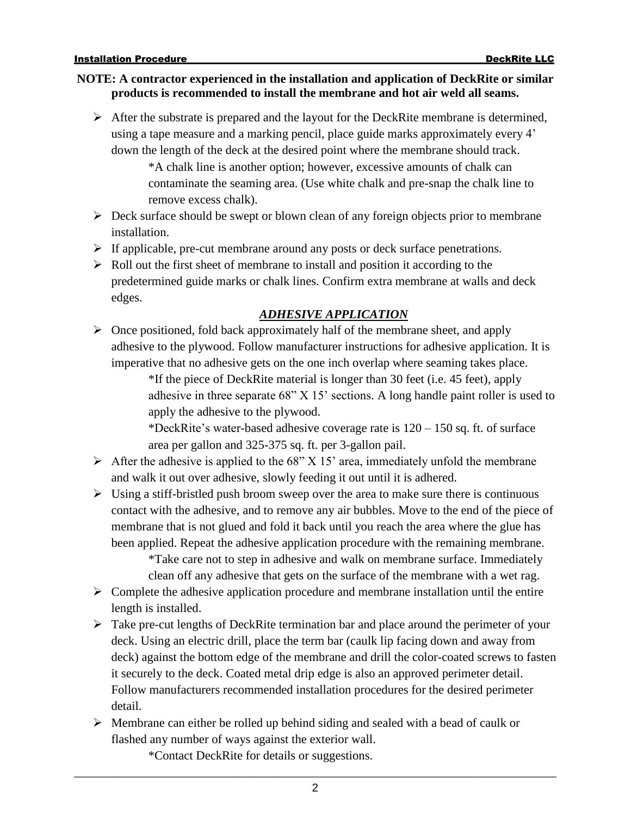#### **NOTE: A contractor experienced in the installation and application of DeckRite or similar products is recommended to install the membrane and hot air weld all seams.**

➢ After the substrate is prepared and the layout for the DeckRite membrane is determined, using a tape measure and a marking pencil, place guide marks approximately every 4' down the length of the deck at the desired point where the membrane should track.

\*A chalk line is another option; however, excessive amounts of chalk can contaminate the seaming area. (Use white chalk and pre-snap the chalk line to remove excess chalk).

- $\triangleright$  Deck surface should be swept or blown clean of any foreign objects prior to membrane installation.
- ➢ If applicable, pre-cut membrane around any posts or deck surface penetrations.
- ➢ Roll out the first sheet of membrane to install and position it according to the predetermined guide marks or chalk lines. Confirm extra membrane at walls and deck edges.

#### *ADHESIVE APPLICATION*

 $\triangleright$  Once positioned, fold back approximately half of the membrane sheet, and apply adhesive to the plywood. Follow manufacturer instructions for adhesive application. It is imperative that no adhesive gets on the one inch overlap where seaming takes place.

> \*If the piece of DeckRite material is longer than 30 feet (i.e. 45 feet), apply adhesive in three separate 68" X 15' sections. A long handle paint roller is used to apply the adhesive to the plywood.

\*DeckRite's water-based adhesive coverage rate is  $120 - 150$  sq. ft. of surface area per gallon and 325-375 sq. ft. per 3-gallon pail.

- $\triangleright$  After the adhesive is applied to the 68" X 15' area, immediately unfold the membrane and walk it out over adhesive, slowly feeding it out until it is adhered.
- $\triangleright$  Using a stiff-bristled push broom sweep over the area to make sure there is continuous contact with the adhesive, and to remove any air bubbles. Move to the end of the piece of membrane that is not glued and fold it back until you reach the area where the glue has been applied. Repeat the adhesive application procedure with the remaining membrane.

\*Take care not to step in adhesive and walk on membrane surface. Immediately clean off any adhesive that gets on the surface of the membrane with a wet rag.

- $\triangleright$  Complete the adhesive application procedure and membrane installation until the entire length is installed.
- ➢ Take pre-cut lengths of DeckRite termination bar and place around the perimeter of your deck. Using an electric drill, place the term bar (caulk lip facing down and away from deck) against the bottom edge of the membrane and drill the color-coated screws to fasten it securely to the deck. Coated metal drip edge is also an approved perimeter detail. Follow manufacturers recommended installation procedures for the desired perimeter detail.
- $\triangleright$  Membrane can either be rolled up behind siding and sealed with a bead of caulk or flashed any number of ways against the exterior wall.

\*Contact DeckRite for details or suggestions.